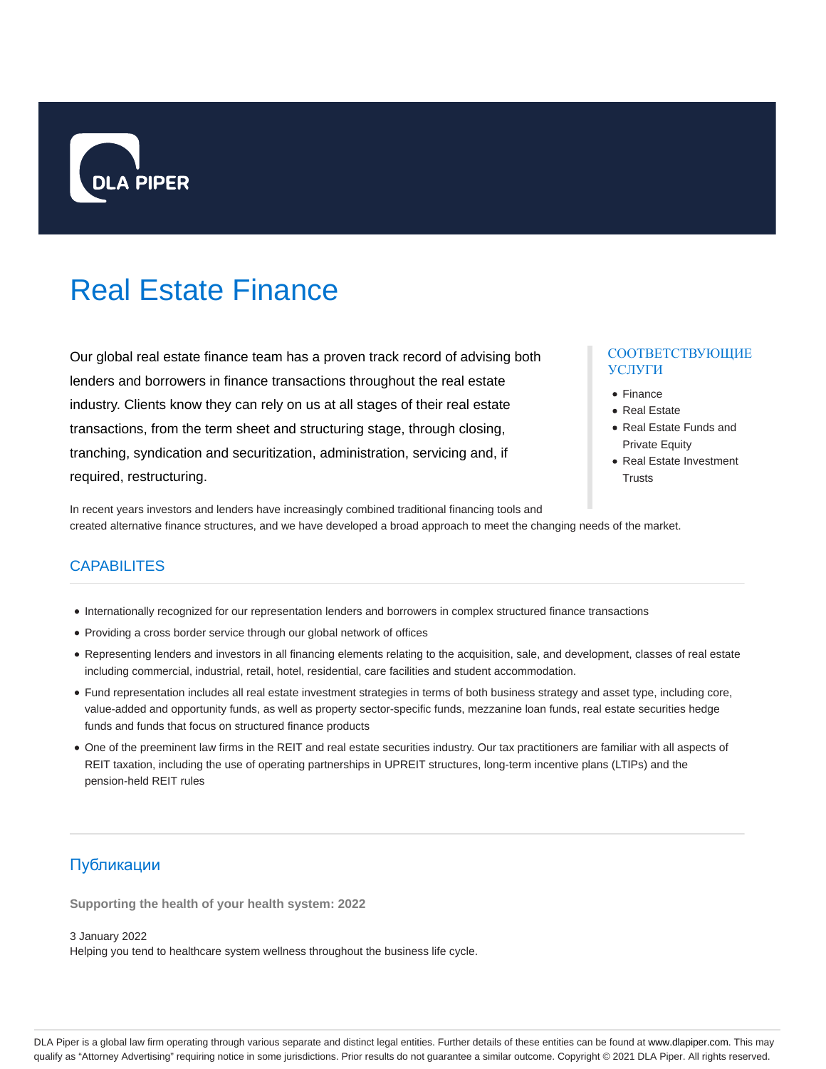

# Real Estate Finance

Our global real estate finance team has a proven track record of advising both lenders and borrowers in finance transactions throughout the real estate industry. Clients know they can rely on us at all stages of their real estate transactions, from the term sheet and structuring stage, through closing, tranching, syndication and securitization, administration, servicing and, if required, restructuring.

## СООТВЕТСТВУЮЩИЕ УСЛУГИ

- Finance
- Real Estate
- Real Estate Funds and Private Equity
- Real Estate Investment **Trusts**

In recent years investors and lenders have increasingly combined traditional financing tools and created alternative finance structures, and we have developed a broad approach to meet the changing needs of the market.

## **CAPABILITES**

- Internationally recognized for our representation lenders and borrowers in complex structured finance transactions
- Providing a cross border service through our global network of offices
- Representing lenders and investors in all financing elements relating to the acquisition, sale, and development, classes of real estate including commercial, industrial, retail, hotel, residential, care facilities and student accommodation.
- Fund representation includes all real estate investment strategies in terms of both business strategy and asset type, including core, value-added and opportunity funds, as well as property sector-specific funds, mezzanine loan funds, real estate securities hedge funds and funds that focus on structured finance products
- One of the preeminent law firms in the REIT and real estate securities industry. Our tax practitioners are familiar with all aspects of REIT taxation, including the use of operating partnerships in UPREIT structures, long-term incentive plans (LTIPs) and the pension-held REIT rules

# Публикации

**Supporting the health of your health system: 2022**

3 January 2022

Helping you tend to healthcare system wellness throughout the business life cycle.